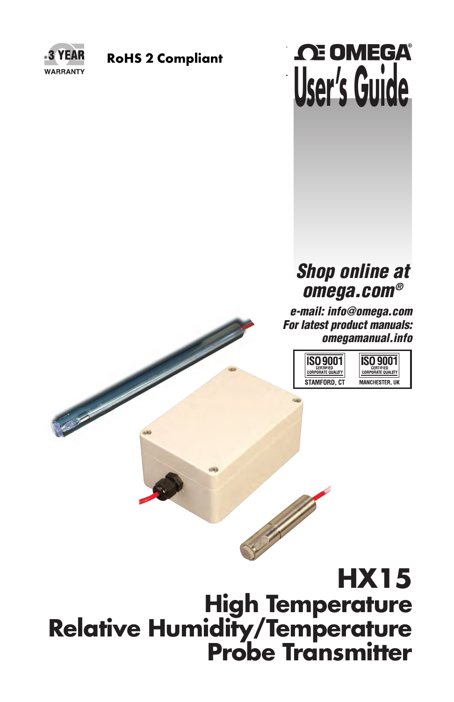

# **RoHS 2 Compliant**<br> **USET'S GUIDE**

# *Shop online at omega.com®*

*e-mail: info@omega.com For latest product manuals: omegamanual.info*



# **HX15 High Temperature Relative Humidity/Temperature Probe Transmitter**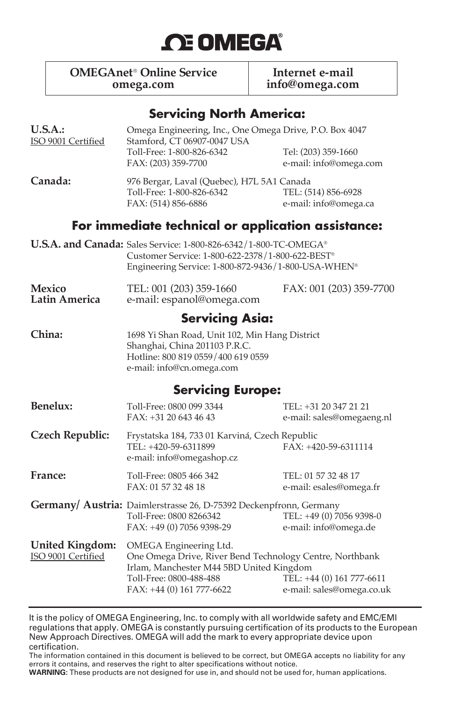

**OMEGAnet<sup>®</sup> Online Service Internet e-mail omega.com info@omega.com**

#### **Servicing North America:**

| U.S.A.:<br>ISO 9001 Certified                | Omega Engineering, Inc., One Omega Drive, P.O. Box 4047<br>Stamford, CT 06907-0047 USA                                                                                                 |                                                        |
|----------------------------------------------|----------------------------------------------------------------------------------------------------------------------------------------------------------------------------------------|--------------------------------------------------------|
|                                              | Toll-Free: 1-800-826-6342<br>FAX: (203) 359-7700                                                                                                                                       | Tel: (203) 359-1660<br>e-mail: info@omega.com          |
| Canada:                                      | 976 Bergar, Laval (Quebec), H7L 5A1 Canada<br>Toll-Free: 1-800-826-6342<br>FAX: (514) 856-6886                                                                                         | TEL: (514) 856-6928<br>e-mail: info@omega.ca           |
|                                              | For immediate technical or application assistance:                                                                                                                                     |                                                        |
|                                              | U.S.A. and Canada: Sales Service: 1-800-826-6342/1-800-TC-OMEGA®<br>Customer Service: 1-800-622-2378/1-800-622-BEST®<br>Engineering Service: 1-800-872-9436/1-800-USA-WHEN®            |                                                        |
| <b>Mexico</b><br>Latin America               | TEL: 001 (203) 359-1660<br>e-mail: espanol@omega.com                                                                                                                                   | FAX: 001 (203) 359-7700                                |
|                                              | <b>Servicing Asia:</b>                                                                                                                                                                 |                                                        |
| China:                                       | 1698 Yi Shan Road, Unit 102, Min Hang District<br>Shanghai, China 201103 P.R.C.<br>Hotline: 800 819 0559/400 619 0559<br>e-mail: info@cn.omega.com                                     |                                                        |
|                                              | <b>Servicing Europe:</b>                                                                                                                                                               |                                                        |
| <b>Benelux:</b>                              | Toll-Free: 0800 099 3344<br>FAX: +31 20 643 46 43                                                                                                                                      | TEL: +31 20 347 21 21<br>e-mail: sales@omegaeng.nl     |
| <b>Czech Republic:</b>                       | Frystatska 184, 733 01 Karviná, Czech Republic<br>TEL: +420-59-6311899<br>e-mail: info@omegashop.cz                                                                                    | FAX: +420-59-6311114                                   |
| France:                                      | Toll-Free: 0805 466 342<br>FAX: 01 57 32 48 18                                                                                                                                         | TEL: 01 57 32 48 17<br>e-mail: esales@omega.fr         |
|                                              | Germany/ Austria: Daimlerstrasse 26, D-75392 Deckenpfronn, Germany<br>Toll-Free: 0800 8266342<br>FAX: +49 (0) 7056 9398-29                                                             | TEL: +49 (0) 7056 9398-0<br>e-mail: info@omega.de      |
| <b>United Kingdom:</b><br>ISO 9001 Certified | OMEGA Engineering Ltd.<br>One Omega Drive, River Bend Technology Centre, Northbank<br>Irlam, Manchester M44 5BD United Kingdom<br>Toll-Free: 0800-488-488<br>FAX: +44 (0) 161 777-6622 | TEL: +44 (0) 161 777-6611<br>e-mail: sales@omega.co.uk |

It is the policy of OMEGA Engineering, Inc. to comply with all worldwide safety and EMC/EMI regulations that apply. OMEGA is constantly pursuing certification of its products to the European New Approach Directives. OMEGA will add the mark to every appropriate device upon certification.

The information contained in this document is believed to be correct, but OMEGA accepts no liability for any errors it contains, and reserves the right to alter specifications without notice.

**WARNING:** These products are not designed for use in, and should not be used for, human applications.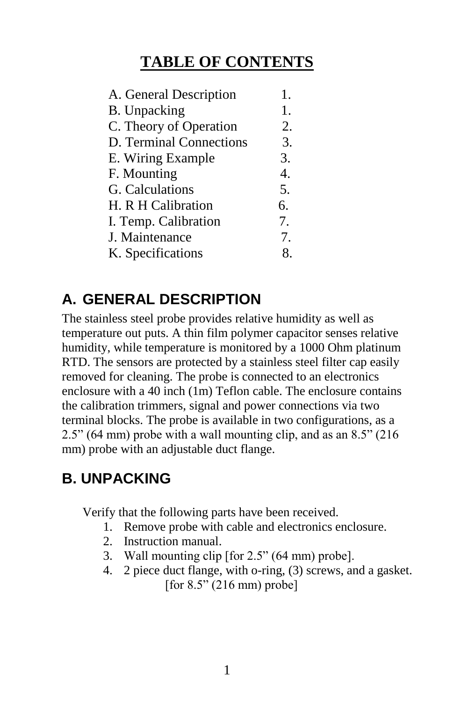# **TABLE OF CONTENTS**

| A. General Description  | 1.               |
|-------------------------|------------------|
| <b>B.</b> Unpacking     | 1.               |
| C. Theory of Operation  | 2.               |
| D. Terminal Connections | 3.               |
| E. Wiring Example       | 3.               |
| F. Mounting             | $\overline{4}$ . |
| G. Calculations         | 5.               |
| H. R H Calibration      | 6.               |
| I. Temp. Calibration    | 7.               |
| J. Maintenance          | 7.               |
| K. Specifications       |                  |

# **A. GENERAL DESCRIPTION**

The stainless steel probe provides relative humidity as well as temperature out puts. A thin film polymer capacitor senses relative humidity, while temperature is monitored by a 1000 Ohm platinum RTD. The sensors are protected by a stainless steel filter cap easily removed for cleaning. The probe is connected to an electronics enclosure with a 40 inch (1m) Teflon cable. The enclosure contains the calibration trimmers, signal and power connections via two terminal blocks. The probe is available in two configurations, as a 2.5" (64 mm) probe with a wall mounting clip, and as an 8.5" (216 mm) probe with an adjustable duct flange.

# **B. UNPACKING**

Verify that the following parts have been received.

- 1. Remove probe with cable and electronics enclosure.
- 2. Instruction manual.
- 3. Wall mounting clip [for 2.5" (64 mm) probe].
- 4. 2 piece duct flange, with o-ring, (3) screws, and a gasket. [for  $8.5$ " (216 mm) probe]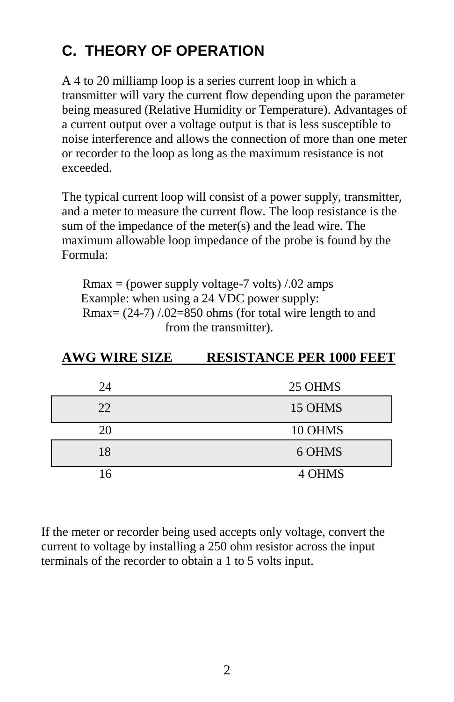# **C. THEORY OF OPERATION**

A 4 to 20 milliamp loop is a series current loop in which a transmitter will vary the current flow depending upon the parameter being measured (Relative Humidity or Temperature). Advantages of a current output over a voltage output is that is less susceptible to noise interference and allows the connection of more than one meter or recorder to the loop as long as the maximum resistance is not exceeded.

The typical current loop will consist of a power supply, transmitter, and a meter to measure the current flow. The loop resistance is the sum of the impedance of the meter(s) and the lead wire. The maximum allowable loop impedance of the probe is found by the Formula:

Rmax = (power supply voltage-7 volts)  $\ell$ .02 amps Example: when using a 24 VDC power supply: Rmax=  $(24-7)$  /.02=850 ohms (for total wire length to and from the transmitter).

| <b>AWG WIRE SIZE</b> | <b>RESISTANCE PER 1000 FEET</b> |
|----------------------|---------------------------------|
|                      |                                 |
| 24                   | 25 OHMS                         |
| 22                   | 15 OHMS                         |
| 20                   | 10 OHMS                         |
| 18                   | 6 OHMS                          |
| 16                   | 4 OHMS                          |

If the meter or recorder being used accepts only voltage, convert the current to voltage by installing a 250 ohm resistor across the input terminals of the recorder to obtain a 1 to 5 volts input.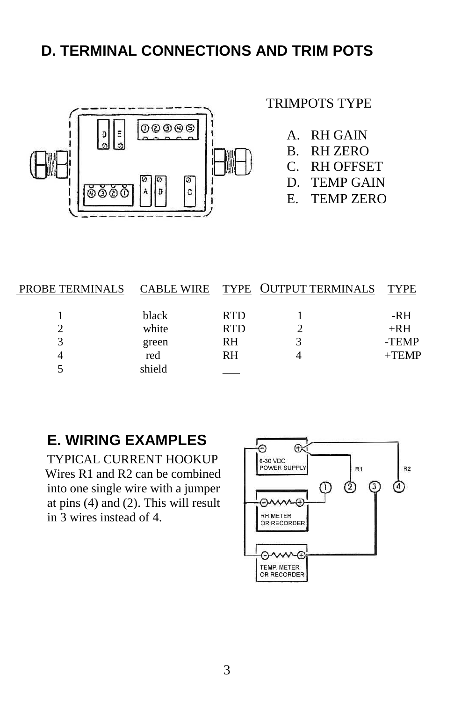# **D. TERMINAL CONNECTIONS AND TRIM POTS**



#### TRIMPOTS TYPE

- A. RH GAIN
- B. RH ZERO
- C. RH OFFSET
- D. TEMP GAIN
- E. TEMP ZERO

|        |            | PROBE TERMINALS CABLE WIRE TYPE OUTPUT TERMINALS TYPE |          |
|--------|------------|-------------------------------------------------------|----------|
|        |            |                                                       |          |
| black  | <b>RTD</b> |                                                       | -RH      |
| white  | <b>RTD</b> |                                                       | $+RH$    |
| green  | RH         |                                                       | -TEMP    |
| red    | RH         |                                                       | $+$ TEMP |
| shield |            |                                                       |          |

## **E. WIRING EXAMPLES**

TYPICAL CURRENT HOOKUP Wires R1 and R2 can be combined into one single wire with a jumper at pins (4) and (2). This will result in 3 wires instead of 4.

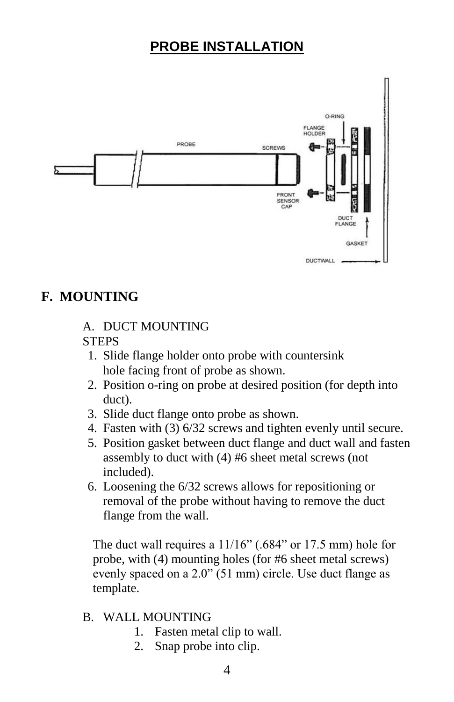# **PROBE INSTALLATION**



#### **F. MOUNTING**

#### A. DUCT MOUNTING **STEPS**

- 1. Slide flange holder onto probe with countersink hole facing front of probe as shown.
- 2. Position o-ring on probe at desired position (for depth into duct).
- 3. Slide duct flange onto probe as shown.
- 4. Fasten with (3) 6/32 screws and tighten evenly until secure.
- 5. Position gasket between duct flange and duct wall and fasten assembly to duct with (4) #6 sheet metal screws (not included).
- 6. Loosening the 6/32 screws allows for repositioning or removal of the probe without having to remove the duct flange from the wall.

The duct wall requires a 11/16" (.684" or 17.5 mm) hole for probe, with (4) mounting holes (for #6 sheet metal screws) evenly spaced on a 2.0" (51 mm) circle. Use duct flange as template.

- B. WALL MOUNTING
	- 1. Fasten metal clip to wall.
	- 2. Snap probe into clip.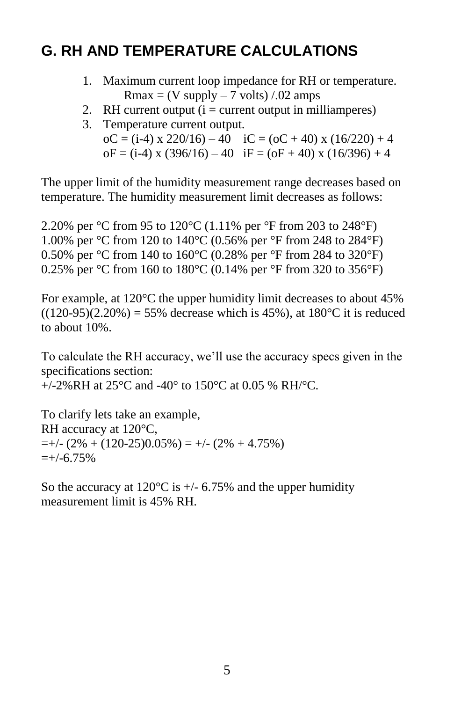# **G. RH AND TEMPERATURE CALCULATIONS**

- 1. Maximum current loop impedance for RH or temperature.  $Rmax = (V supply - 7 volts) / .02 amps$
- 2. RH current output  $(i = current output in milliamperes)$
- 3. Temperature current output. oC = (i-4) x 220/16) – 40 iC = (oC + 40) x (16/220) + 4  $oF = (i-4)x(396/16) - 40$   $iF = (oF + 40)x(16/396) + 4$

The upper limit of the humidity measurement range decreases based on temperature. The humidity measurement limit decreases as follows:

2.20% per °C from 95 to 120°C (1.11% per °F from 203 to 248°F) 1.00% per °C from 120 to 140°C (0.56% per °F from 248 to 284°F) 0.50% per °C from 140 to 160°C (0.28% per °F from 284 to 320°F) 0.25% per °C from 160 to 180°C (0.14% per °F from 320 to 356°F)

For example, at 120°C the upper humidity limit decreases to about 45%  $((120-95)(2.20%) = 55%$  decrease which is 45%), at 180 °C it is reduced to about 10%.

To calculate the RH accuracy, we'll use the accuracy specs given in the specifications section:

 $+/-2\%RH$  at 25<sup>o</sup>C and -40<sup>o</sup> to 150<sup>o</sup>C at 0.05 % RH/<sup>o</sup>C.

To clarify lets take an example, RH accuracy at 120°C,  $=+/- (2\% + (120-25)0.05\%) = +/- (2\% + 4.75\%)$  $=+/-6.75%$ 

So the accuracy at  $120^{\circ}$ C is  $+/- 6.75%$  and the upper humidity measurement limit is 45% RH.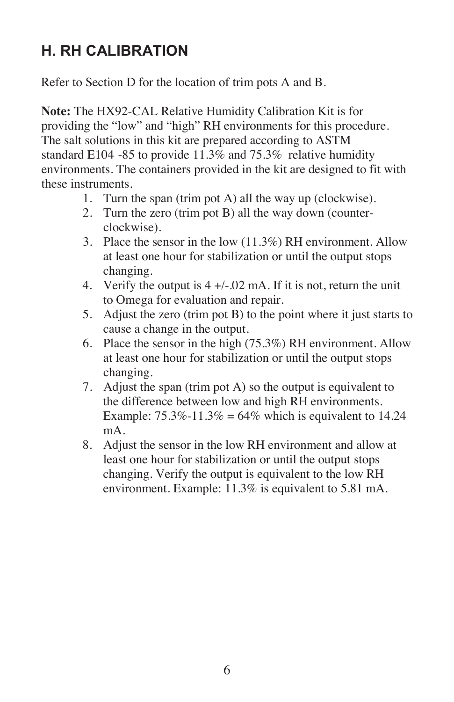# **H. RH CALIBRATION**

Refer to Section D for the location of trim pots A and B.

**Note:** The HX92-CAL Relative Humidity Calibration Kit is for providing the "low" and "high" RH environments for this procedure. The salt solutions in this kit are prepared according to ASTM standard E104 -85 to provide 11.3% and 75.3% relative humidity environments. The containers provided in the kit are designed to fit with these instruments.

- 1. Turn the span (trim pot A) all the way up (clockwise).
- 2. Turn the zero (trim pot B) all the way down (counterclockwise).
- 3. Place the sensor in the low (11.3%) RH environment. Allow at least one hour for stabilization or until the output stops changing.
- 4. Verify the output is 4 +/-.02 mA. If it is not, return the unit to Omega for evaluation and repair.
- 5. Adjust the zero (trim pot B) to the point where it just starts to cause a change in the output.
- 6. Place the sensor in the high (75.3%) RH environment. Allow at least one hour for stabilization or until the output stops changing.
- 7. Adjust the span (trim pot A) so the output is equivalent to the difference between low and high RH environments. Example:  $75.3\% - 11.3\% = 64\%$  which is equivalent to 14.24 mA.
- 8. Adjust the sensor in the low RH environment and allow at least one hour for stabilization or until the output stops changing. Verify the output is equivalent to the low RH environment. Example: 11.3% is equivalent to 5.81 mA.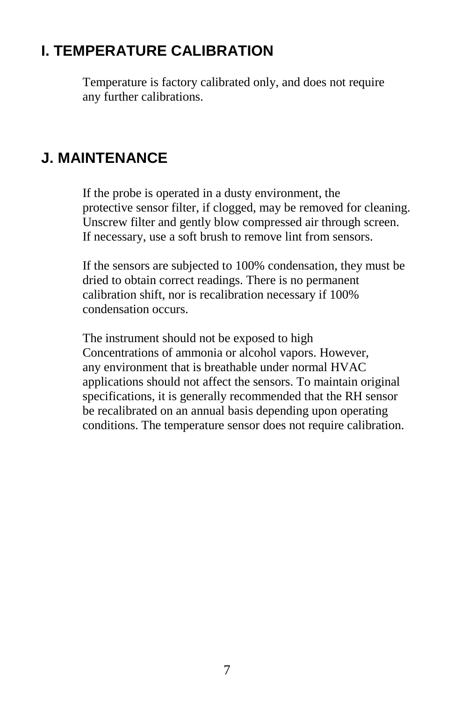# **I. TEMPERATURE CALIBRATION**

Temperature is factory calibrated only, and does not require any further calibrations.

# **J. MAINTENANCE**

If the probe is operated in a dusty environment, the protective sensor filter, if clogged, may be removed for cleaning. Unscrew filter and gently blow compressed air through screen. If necessary, use a soft brush to remove lint from sensors.

 If the sensors are subjected to 100% condensation, they must be dried to obtain correct readings. There is no permanent calibration shift, nor is recalibration necessary if 100% condensation occurs.

 The instrument should not be exposed to high Concentrations of ammonia or alcohol vapors. However, any environment that is breathable under normal HVAC applications should not affect the sensors. To maintain original specifications, it is generally recommended that the RH sensor be recalibrated on an annual basis depending upon operating conditions. The temperature sensor does not require calibration.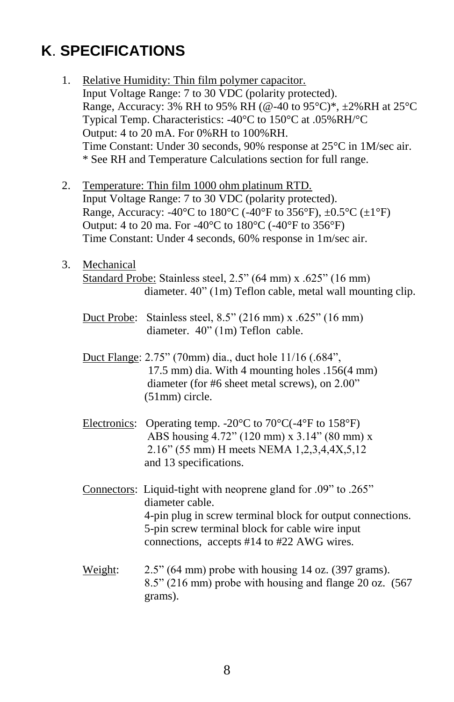# **K**. **SPECIFICATIONS**

| 1. |            | Relative Humidity: Thin film polymer capacitor.<br>Input Voltage Range: 7 to 30 VDC (polarity protected).<br>Range, Accuracy: 3% RH to 95% RH (@-40 to 95°C)*, ±2%RH at 25°C<br>Typical Temp. Characteristics: -40°C to 150°C at .05%RH/°C<br>Output: 4 to 20 mA. For 0%RH to 100%RH.<br>Time Constant: Under 30 seconds, 90% response at 25°C in 1M/sec air.<br>* See RH and Temperature Calculations section for full range. |
|----|------------|--------------------------------------------------------------------------------------------------------------------------------------------------------------------------------------------------------------------------------------------------------------------------------------------------------------------------------------------------------------------------------------------------------------------------------|
| 2. |            | Temperature: Thin film 1000 ohm platinum RTD.<br>Input Voltage Range: 7 to 30 VDC (polarity protected).<br>Range, Accuracy: -40°C to 180°C (-40°F to 356°F), $\pm 0.5$ °C ( $\pm 1$ °F)<br>Output: 4 to 20 ma. For -40°C to 180°C (-40°F to 356°F)<br>Time Constant: Under 4 seconds, 60% response in 1m/sec air.                                                                                                              |
| 3. | Mechanical | Standard Probe: Stainless steel, 2.5" (64 mm) x .625" (16 mm)<br>diameter. 40" (1m) Teflon cable, metal wall mounting clip.                                                                                                                                                                                                                                                                                                    |
|    |            | Duct Probe: Stainless steel, $8.5$ " (216 mm) x .625" (16 mm)<br>diameter. 40" (1m) Teflon cable.                                                                                                                                                                                                                                                                                                                              |
|    |            | Duct Flange: 2.75" (70mm) dia., duct hole 11/16 (.684",<br>17.5 mm) dia. With 4 mounting holes .156(4 mm)<br>diameter (for #6 sheet metal screws), on 2.00"<br>(51mm) circle.                                                                                                                                                                                                                                                  |
|    |            | Electronics: Operating temp. -20 $\rm{^{\circ}C}$ to 70 $\rm{^{\circ}C}$ (-4 $\rm{^{\circ}F}$ to 158 $\rm{^{\circ}F}$ )<br>ABS housing 4.72" (120 mm) x 3.14" (80 mm) x<br>2.16" (55 mm) H meets NEMA 1,2,3,4,4X,5,12<br>and 13 specifications.                                                                                                                                                                                |
|    |            | Connectors: Liquid-tight with neoprene gland for .09" to .265"<br>diameter cable.<br>4-pin plug in screw terminal block for output connections.<br>5-pin screw terminal block for cable wire input<br>connections, accepts #14 to #22 AWG wires.                                                                                                                                                                               |
|    | Weight:    | $2.5$ " (64 mm) probe with housing 14 oz. (397 grams).<br>8.5" (216 mm) probe with housing and flange 20 oz. (567<br>grams).                                                                                                                                                                                                                                                                                                   |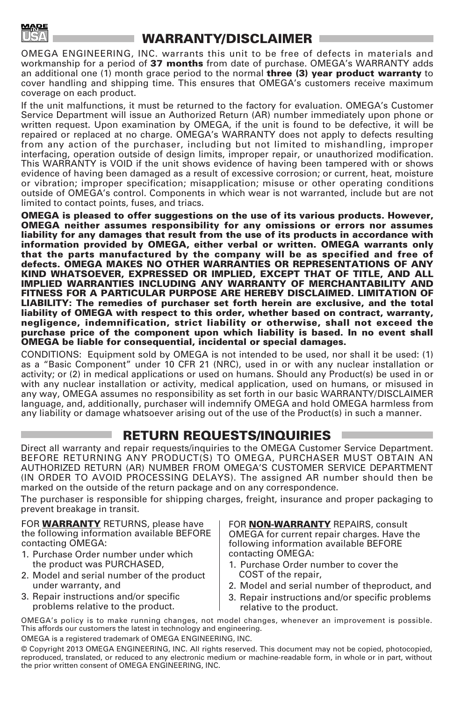

#### **WARRANTY/DISCLAIMER**

OMEGA ENGINEERING, INC. warrants this unit to be free of defects in materials and workmanship for a period of **37 months** from date of purchase. OMEGA's WARRANTY adds an additional one (1) month grace period to the normal **three (3) year product warranty** to cover handling and shipping time. This ensures that OMEGA's customers receive maximum coverage on each product.

If the unit malfunctions, it must be returned to the factory for evaluation. OMEGA's Customer Service Department will issue an Authorized Return (AR) number immediately upon phone or written request. Upon examination by OMEGA, if the unit is found to be defective, it will be repaired or replaced at no charge. OMEGA's WARRANTY does not apply to defects resulting from any action of the purchaser, including but not limited to mishandling, improper interfacing, operation outside of design limits, improper repair, or unauthorized modification. This WARRANTY is VOID if the unit shows evidence of having been tampered with or shows evidence of having been damaged as a result of excessive corrosion; or current, heat, moisture or vibration; improper specification; misapplication; misuse or other operating conditions outside of OMEGA's control. Components in which wear is not warranted, include but are not limited to contact points, fuses, and triacs.

**OMEGA is pleased to offer suggestions on the use of its various products. However, OMEGA neither assumes responsibility for any omissions or errors nor assumes liability for any damages that result from the use of its products in accordance with information provided by OMEGA, either verbal or written. OMEGA warrants only that the parts manufactured by the company will be as specified and free of defects. OMEGA MAKES NO OTHER WARRANTIES OR REPRESENTATIONS OF ANY KIND WHATSOEVER, EXPRESSED OR IMPLIED, EXCEPT THAT OF TITLE, AND ALL IMPLIED WARRANTIES INCLUDING ANY WARRANTY OF MERCHANTABILITY AND FITNESS FOR A PARTICULAR PURPOSE ARE HEREBY DISCLAIMED. LIMITATION OF LIABILITY: The remedies of purchaser set forth herein are exclusive, and the total liability of OMEGA with respect to this order, whether based on contract, warranty, negligence, indemnification, strict liability or otherwise, shall not exceed the purchase price of the component upon which liability is based. In no event shall OMEGA be liable for consequential, incidental or special damages.**

CONDITIONS: Equipment sold by OMEGA is not intended to be used, nor shall it be used: (1) as a "Basic Component" under 10 CFR 21 (NRC), used in or with any nuclear installation or activity; or (2) in medical applications or used on humans. Should any Product(s) be used in or with any nuclear installation or activity, medical application, used on humans, or misused in any way, OMEGA assumes no responsibility as set forth in our basic WARRANTY/DISCLAIMER language, and, additionally, purchaser will indemnify OMEGA and hold OMEGA harmless from any liability or damage whatsoever arising out of the use of the Product(s) in such a manner.

#### **RETURN REQUESTS/INQUIRIES**

Direct all warranty and repair requests/inquiries to the OMEGA Customer Service Department. BEFORE RETURNING ANY PRODUCT(S) TO OMEGA, PURCHASER MUST OBTAIN AN AUTHORIZED RETURN (AR) NUMBER FROM OMEGA'S CUSTOMER SERVICE DEPARTMENT (IN ORDER TO AVOID PROCESSING DELAYS). The assigned AR number should then be marked on the outside of the return package and on any correspondence.

The purchaser is responsible for shipping charges, freight, insurance and proper packaging to prevent breakage in transit.

FOR **WARRANTY** RETURNS, please have the following information available BEFORE contacting OMEGA:

- 1. Purchase Order number under which the product was PURCHASED,
- 2. Model and serial number of the product under warranty, and
- 3. Repair instructions and/or specific problems relative to the product.

FOR **NON-WARRANTY** REPAIRS, consult OMEGA for current repair charges. Have the following information available BEFORE contacting OMEGA:

- 1. Purchase Order number to cover the COST of the repair,
- 2. Model and serial number of theproduct, and
- 3. Repair instructions and/or specific problems relative to the product.

OMEGA's policy is to make running changes, not model changes, whenever an improvement is possible. This affords our customers the latest in technology and engineering.

OMEGA is a registered trademark of OMEGA ENGINEERING, INC.

© Copyright 2013 OMEGA ENGINEERING, INC. All rights reserved. This document may not be copied, photocopied, reproduced, translated, or reduced to any electronic medium or machine-readable form, in whole or in part, without the prior written consent of OMEGA ENGINEERING, INC.